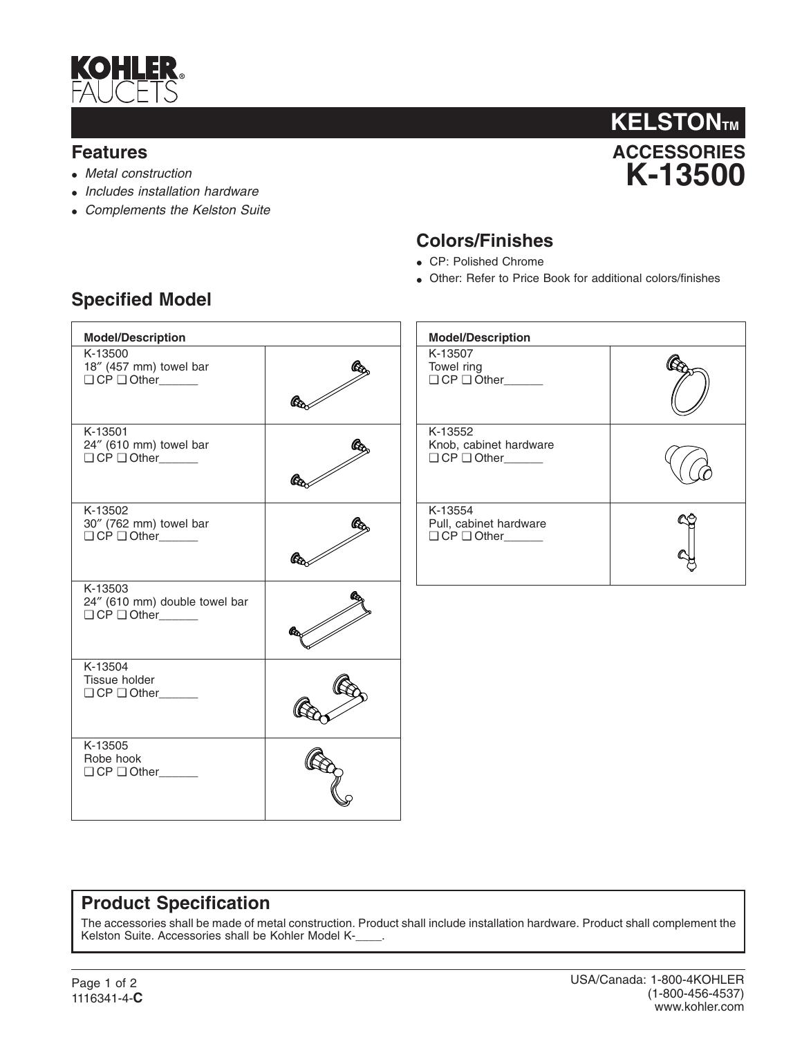

#### **Features**

- *Metal construction*
- *Includes installation hardware*
- *Complements the Kelston Suite*



#### **Colors/Finishes**

- CP: Polished Chrome
- Other: Refer to Price Book for additional colors/finishes

| <b>Model/Description</b>                                    |  | <b>Model/Description</b>                                           |  |
|-------------------------------------------------------------|--|--------------------------------------------------------------------|--|
| K-13500<br>18" (457 mm) towel bar                           |  | K-13507<br>Towel ring<br>$\Box$ CP $\Box$ Other                    |  |
| K-13501<br>24" (610 mm) towel bar<br>$\Box$ CP $\Box$ Other |  | K-13552<br>Knob, cabinet hardware<br>$\Box$ CP $\Box$ Other_______ |  |
| K-13502<br>30" (762 mm) towel bar                           |  | K-13554<br>Pull, cabinet hardware<br>$\Box$ CP $\Box$ Other_______ |  |
| K-13503<br>24" (610 mm) double towel bar<br>O CP O Other    |  |                                                                    |  |
| K-13504<br>Tissue holder<br>$\Box$ CP $\Box$ Other          |  |                                                                    |  |
| K-13505<br>Robe hook<br>$\Box$ CP $\Box$ Other              |  |                                                                    |  |

## **Specified Model**

## **Product Specification**

The accessories shall be made of metal construction. Product shall include installation hardware. Product shall complement the Kelston Suite. Accessories shall be Kohler Model K-\_\_\_\_.